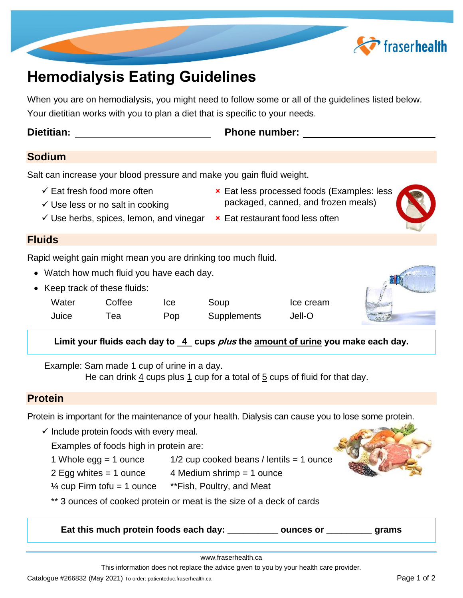

# **Hemodialysis Eating Guidelines**

When you are on hemodialysis, you might need to follow some or all of the guidelines listed below. Your dietitian works with you to plan a diet that is specific to your needs.

**Dietitian: Phone number: Phone number: Phone number: Phone number: Phone number: Phone number: Phone number: Phone Phone number: Phone Phone Phone Phone Phone Phone Phone Phone Phone**

## **Sodium**

Salt can increase your blood pressure and make you gain fluid weight.

- $\checkmark$  Eat fresh food more often  $\checkmark$  Eat less processed foods (Examples: less
- 
- $\checkmark$  Use less or no salt in cooking  $\checkmark$  packaged, canned, and frozen meals)
- $\checkmark$  Use herbs, spices, lemon, and vinegar  $\star$  Eat restaurant food less often

#### **Fluids**

Rapid weight gain might mean you are drinking too much fluid.

- Watch how much fluid you have each day.
- Keep track of these fluids:

| Water | Coffee | Ice | Soup               | Ice cream |  |
|-------|--------|-----|--------------------|-----------|--|
| Juice | ™еа    | Pop | <b>Supplements</b> | Jell-O    |  |



Example: Sam made 1 cup of urine in a day.

He can drink  $\frac{4}{3}$  cups plus  $\frac{1}{3}$  cup for a total of  $\frac{5}{3}$  cups of fluid for that day.

## **Protein**

Protein is important for the maintenance of your health. Dialysis can cause you to lose some protein.

 $\checkmark$  Include protein foods with every meal.

Examples of foods high in protein are:

- 1 Whole egg = 1 ounce 1/2 cup cooked beans / lentils = 1 ounce
- 2 Egg whites = 1 ounce 4 Medium shrimp = 1 ounce
- $\frac{1}{4}$  cup Firm tofu = 1 ounce  $*$ Fish, Poultry, and Meat
- \*\* 3 ounces of cooked protein or meat is the size of a deck of cards

**Eat this much protein foods each day: \_\_\_\_\_\_\_\_\_\_ ounces or \_\_\_\_\_\_\_\_\_ grams**

www.fraserhealth.ca

This information does not replace the advice given to you by your health care provider.

Catalogue #266832 (May 2021) To order: patienteduc.fraserhealth.ca Page 1 of 2